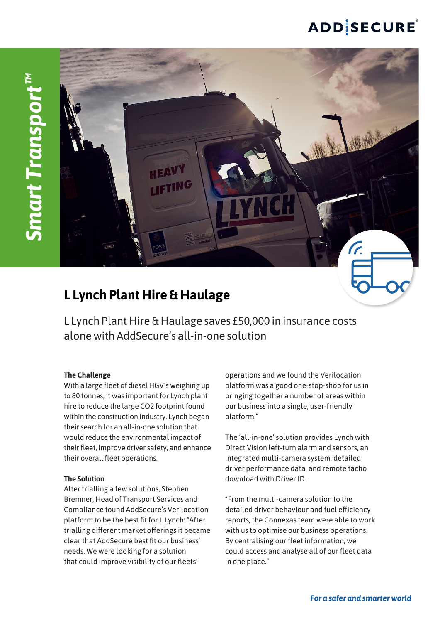# **ADDISECURE**



## **L Lynch Plant Hire & Haulage**

L Lynch Plant Hire & Haulage saves £50,000 in insurance costs alone with AddSecure's all-in-one solution

### **The Challenge**

With a large fleet of diesel HGV's weighing up to 80 tonnes, it was important for Lynch plant hire to reduce the large CO2 footprint found within the construction industry. Lynch began their search for an all-in-one solution that would reduce the environmental impact of their fleet, improve driver safety, and enhance their overall fleet operations.

### **The Solution**

After trialling a few solutions, Stephen Bremner, Head of Transport Services and Compliance found AddSecure's Verilocation platform to be the best fit for L Lynch: "After trialling different market offerings it became clear that AddSecure best fit our business' needs. We were looking for a solution that could improve visibility of our fleets'

operations and we found the Verilocation platform was a good one-stop-shop for us in bringing together a number of areas within our business into a single, user-friendly platform."

The 'all-in-one' solution provides Lynch with Direct Vision left-turn alarm and sensors, an integrated multi-camera system, detailed driver performance data, and remote tacho download with Driver ID.

"From the multi-camera solution to the detailed driver behaviour and fuel efficiency reports, the Connexas team were able to work with us to optimise our business operations. By centralising our fleet information, we could access and analyse all of our fleet data in one place."